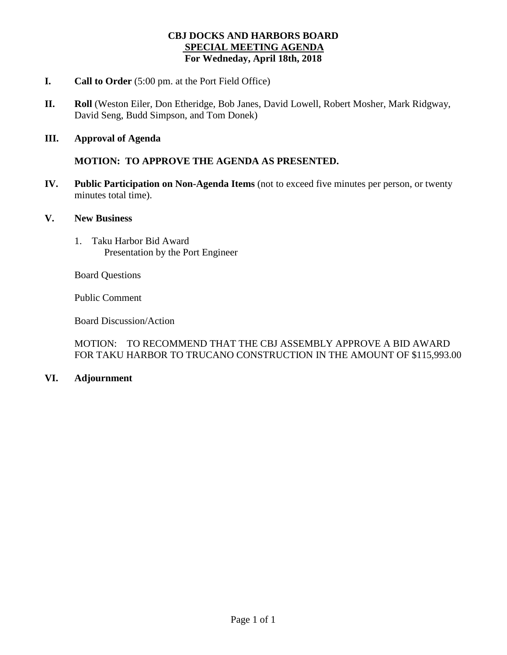## **CBJ DOCKS AND HARBORS BOARD SPECIAL MEETING AGENDA For Wedneday, April 18th, 2018**

- **I. Call to Order** (5:00 pm. at the Port Field Office)
- **II. Roll** (Weston Eiler, Don Etheridge, Bob Janes, David Lowell, Robert Mosher, Mark Ridgway, David Seng, Budd Simpson, and Tom Donek)
- **III. Approval of Agenda**

**MOTION: TO APPROVE THE AGENDA AS PRESENTED.**

- **IV. Public Participation on Non-Agenda Items** (not to exceed five minutes per person, or twenty minutes total time).
- **V. New Business**
	- 1. Taku Harbor Bid Award Presentation by the Port Engineer

Board Questions

Public Comment

Board Discussion/Action

MOTION: TO RECOMMEND THAT THE CBJ ASSEMBLY APPROVE A BID AWARD FOR TAKU HARBOR TO TRUCANO CONSTRUCTION IN THE AMOUNT OF \$115,993.00

## **VI. Adjournment**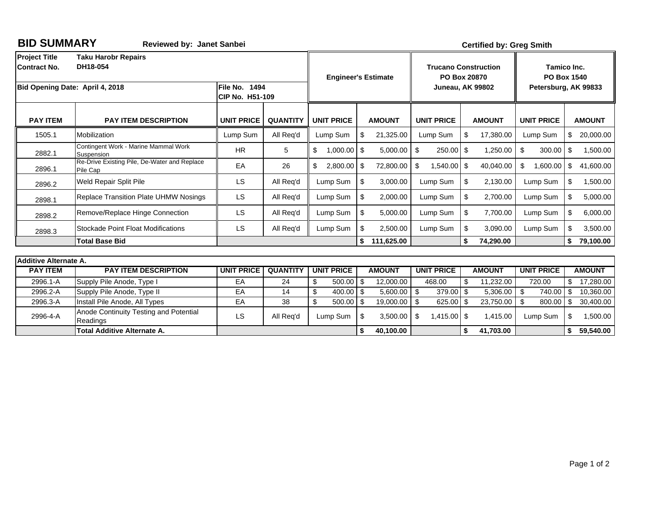| <b>BID SUMMARY</b>                   | <b>Reviewed by: Janet Sanbei</b>                         |                                  | <b>Certified by: Greg Smith</b> |                                                                 |      |               |                                    |                                                           |                   |          |               |    |             |
|--------------------------------------|----------------------------------------------------------|----------------------------------|---------------------------------|-----------------------------------------------------------------|------|---------------|------------------------------------|-----------------------------------------------------------|-------------------|----------|---------------|----|-------------|
| <b>Project Title</b><br>Contract No. | <b>Taku Harobr Repairs</b><br>DH18-054                   | <b>Engineer's Estimate</b>       |                                 | <b>Trucano Construction</b><br>PO Box 20870<br>Juneau, AK 99802 |      |               |                                    | Tamico Inc.<br><b>PO Box 1540</b><br>Petersburg, AK 99833 |                   |          |               |    |             |
|                                      | Bid Opening Date: April 4, 2018                          | File No. 1494<br>CIP No. H51-109 |                                 |                                                                 |      |               |                                    |                                                           |                   |          |               |    |             |
| <b>PAY ITEM</b>                      | <b>PAY ITEM DESCRIPTION</b>                              | <b>UNIT PRICE</b>                | <b>QUANTITY</b>                 | <b>UNIT PRICE</b>                                               |      | <b>AMOUNT</b> | <b>UNIT PRICE</b><br><b>AMOUNT</b> |                                                           | <b>UNIT PRICE</b> |          | <b>AMOUNT</b> |    |             |
| 1505.1                               | Mobilization                                             | Lump Sum                         | All Rea'd                       | Lump Sum                                                        | \$   | 21,325.00     | Lump Sum                           | \$                                                        | 17,380.00         |          | Lump Sum      | \$ | 20,000.00   |
| 2882.1                               | Contingent Work - Marine Mammal Work<br>Suspension       | <b>HR</b>                        | 5                               | \$<br>$1,000.00$ \$                                             |      | 5,000.00      | \$<br>250.00 \$                    |                                                           | 1,250.00          | \$       | 300.00        | \$ | 1,500.00    |
| 2896.1                               | Re-Drive Existing Pile, De-Water and Replace<br>Pile Cap | EA                               | 26                              | \$<br>$2,800.00$ \$                                             |      | 72,800.00     | \$<br>1,540.00 \$                  |                                                           | 40,040.00         | \$       | 1,600.00      | \$ | 41,600.00   |
| 2896.2                               | <b>Weld Repair Split Pile</b>                            | LS                               | All Req'd                       | Lump Sum                                                        | \$   | 3,000.00      | Lump Sum                           | \$                                                        | 2,130.00          |          | Lump Sum      | \$ | 1,500.00    |
| 2898.1                               | <b>Replace Transition Plate UHMW Nosings</b>             | <b>LS</b>                        | All Reg'd                       | Lump Sum                                                        | \$   | 2,000.00      | Lump Sum                           | \$                                                        | 2,700.00          | Lump Sum |               | \$ | 5,000.00    |
| 2898.2                               | Remove/Replace Hinge Connection                          | <b>LS</b>                        | All Req'd                       | Lump Sum                                                        | \$   | 5,000.00      | Lump Sum                           | \$                                                        | 7,700.00          | Lump Sum |               | \$ | 6,000.00    |
| 2898.3                               | <b>Stockade Point Float Modifications</b>                | LS                               | All Req'd                       | Lump Sum                                                        | \$   | 2,500.00      | Lump Sum                           | \$                                                        | 3,090.00          | Lump Sum |               | \$ | 3,500.00    |
|                                      | <b>Total Base Bid</b>                                    |                                  |                                 |                                                                 | \$   | 111,625.00    |                                    | \$                                                        | 74,290.00         |          |               |    | \$79,100.00 |
| <b>Additive Alternate A.</b>         |                                                          |                                  |                                 |                                                                 |      |               |                                    |                                                           |                   |          |               |    |             |
| <b>PAY ITEM</b>                      | <b>PAY ITEM DESCRIPTION</b>                              | <b>UNIT PRICE</b>                | <b>QUANTITY</b>                 | <b>UNIT PRICE</b><br><b>AMOUNT</b><br><b>UNIT PRICE</b>         |      | <b>AMOUNT</b> | <b>UNIT PRICE</b>                  |                                                           | <b>AMOUNT</b>     |          |               |    |             |
| 2996.1-A                             | Supply Pile Anode, Type I                                | EA                               | 24                              | \$<br>$500.00$ \$                                               |      | 12.000.00     | 468.00                             | \$                                                        | 11.232.00         |          | 720.00        | \$ | 17,280.00   |
| 2996.2-A                             | Supply Pile Anode, Type II                               | EA                               | 14                              | \$<br>400.00                                                    | -\$  | 5,600.00      | \$<br>379.00 \$                    |                                                           | 5,306.00          | \$       | 740.00        | \$ | 10,360.00   |
| 2996.3-A                             | Install Pile Anode, All Types                            | EA                               | 38                              | \$<br>500.00                                                    | - \$ | 19,000.00     | 625.00 \$<br>\$                    |                                                           | 23,750.00         | \$       | 800.00        | \$ | 30,400.00   |
| 2996-4-A                             | Anode Continuity Testing and Potential<br>Readings       | <b>LS</b>                        | All Reg'd                       | Lump Sum                                                        | \$   | 3,500.00      | $1,415.00$ \$<br>\$                |                                                           | 1,415.00          | Lump Sum |               | \$ | 1,500.00    |
|                                      | <b>Total Additive Alternate A.</b>                       |                                  |                                 |                                                                 | \$   | 40,100.00     |                                    | \$                                                        | 41,703.00         |          |               |    | \$59,540.00 |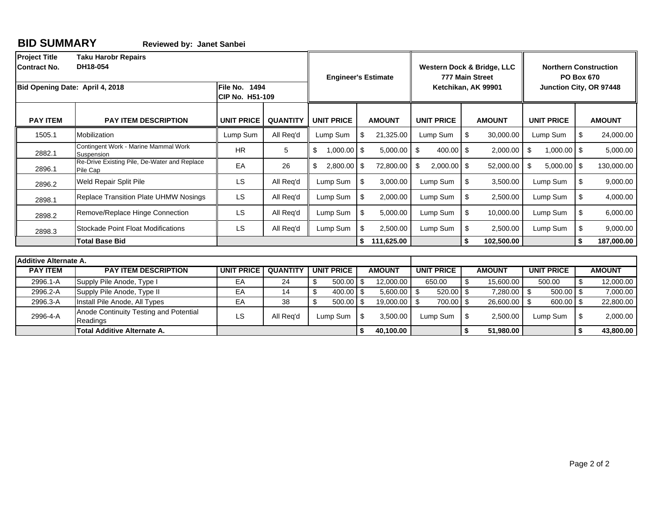2996-4-A

**BID SUMMARY Reviewed by: Janet Sanbei**

Anode Continuity Testing and Potential LS All Req'd Lump Sum \$ 3,500.00<br>Readings **LS All Req'd Lump Sum \$ 3,500.00**<br>Total Additive Alternate A.

**Total Additive Alternate A. Alternate A. Alternate A. Alternate A. Alternate A. Alternate A. 40,000 40,000 40,000 40,000 40,000 40,000 40,000 40,000 40,000 40,000 40,000 40,000** 

| <b>Project Title</b><br><b>Taku Harobr Repairs</b><br>DH18-054<br><b>Contract No.</b> |                                                                                        |                                         |                 | <b>Engineer's Estimate</b>        |      |               |                     | Western Dock & Bridge, LLC<br>777 Main Street | <b>Northern Construction</b><br><b>PO Box 670</b> |                     |  |                                        |  |
|---------------------------------------------------------------------------------------|----------------------------------------------------------------------------------------|-----------------------------------------|-----------------|-----------------------------------|------|---------------|---------------------|-----------------------------------------------|---------------------------------------------------|---------------------|--|----------------------------------------|--|
|                                                                                       | Bid Opening Date: April 4, 2018                                                        | <b>File No. 1494</b><br>CIP No. H51-109 |                 |                                   |      |               | Ketchikan, AK 99901 | Junction City, OR 97448                       |                                                   |                     |  |                                        |  |
| <b>PAY ITEM</b>                                                                       | <b>PAY ITEM DESCRIPTION</b>                                                            | <b>UNIT PRICE</b>                       | <b>QUANTITY</b> | <b>UNIT PRICE</b>                 |      | <b>AMOUNT</b> | <b>UNIT PRICE</b>   | <b>AMOUNT</b>                                 |                                                   | <b>UNIT PRICE</b>   |  | <b>AMOUNT</b>                          |  |
| 1505.1                                                                                | Mobilization                                                                           | Lump Sum                                | All Req'd       | Lump Sum                          |      | 21,325.00     | Lump Sum            | -\$                                           | 30,000.00                                         | Lump Sum            |  | $\boldsymbol{\mathsf{s}}$<br>24,000.00 |  |
| 2882.1                                                                                | Contingent Work - Marine Mammal Work<br>Suspension                                     | <b>HR</b>                               | 5               | \$<br>$1,000.00$ \$               |      | 5,000.00      | \$<br>$400.00$ \$   |                                               | 2,000.00                                          | $1,000.00$ \$<br>\$ |  | 5,000.00                               |  |
| 2896.1                                                                                | Re-Drive Existing Pile, De-Water and Replace<br>Pile Cap                               | EA                                      | 26              | \$<br>2,800.00 \$                 |      | 72,800.00     | \$<br>$2,000.00$ \$ |                                               | 52,000.00                                         | \$<br>$5,000.00$ \$ |  | 130,000.00                             |  |
| 2896.2                                                                                | Weld Repair Split Pile                                                                 | <b>LS</b>                               | All Req'd       | Lump Sum                          | \$   | 3,000.00      | Lump Sum            | -\$                                           | 3,500.00                                          | Lump Sum            |  | \$<br>9,000.00                         |  |
| 2898.1                                                                                | Replace Transition Plate UHMW Nosings                                                  | <b>LS</b>                               | All Req'd       | Lump Sum                          | \$   | 2,000.00      | Lump Sum            | - \$                                          | 2,500.00                                          | Lump Sum            |  | \$<br>4,000.00                         |  |
| 2898.2                                                                                | Remove/Replace Hinge Connection                                                        | <b>LS</b>                               | All Req'd       | Lump Sum                          | \$   | 5,000.00      | Lump Sum            | -\$                                           | 10,000.00                                         | Lump Sum            |  | \$<br>6,000.00                         |  |
| 2898.3                                                                                | <b>Stockade Point Float Modifications</b>                                              | <b>LS</b>                               | All Req'd       | Lump Sum                          | \$   | 2,500.00      | Lump Sum            | \$                                            | 2,500.00                                          | Lump Sum            |  | \$<br>9,000.00                         |  |
|                                                                                       | <b>Total Base Bid</b>                                                                  |                                         |                 |                                   | \$   | 111,625.00    |                     | \$                                            | 102,500.00                                        |                     |  | \$<br>187,000.00                       |  |
| <b>Additive Alternate A.</b>                                                          |                                                                                        |                                         |                 |                                   |      |               |                     |                                               |                                                   |                     |  |                                        |  |
|                                                                                       | <b>PAY ITEM DESCRIPTION</b><br><b>UNIT PRICE</b><br><b>QUANTITY</b><br><b>PAY ITEM</b> |                                         |                 |                                   |      | <b>AMOUNT</b> | <b>UNIT PRICE</b>   |                                               | <b>AMOUNT</b>                                     | <b>UNIT PRICE</b>   |  | <b>AMOUNT</b>                          |  |
| 2996.1-A                                                                              | Supply Pile Anode, Type I                                                              | EA                                      | 24              | <b>UNIT PRICE</b><br>\$<br>500.00 | l \$ | 12,000.00     | 650.00              | \$                                            | 15,600.00                                         | 500.00              |  | \$<br>12,000.00                        |  |
| 2996.2-A                                                                              | Supply Pile Anode, Type II                                                             | EA                                      | 14              | \$<br>400.00                      | l \$ | 5,600.00      | - \$<br>$520.00$ \$ |                                               | 7,280.00                                          | \$<br>$500.00$ \$   |  | 7,000.00                               |  |
| 2996.3-A                                                                              | Install Pile Anode, All Types                                                          | EA                                      | 38              | \$<br>$500.00$ \$                 |      | 19,000.00 \$  | 700.00 \$           |                                               | 26,600.00                                         | 600.00 \$<br>- \$   |  | 22,800.00                              |  |

Lump Sum 2,500.00 \$ Lump Sum 2,000.00 \$

 **\$ 51,980.00 \$ 43,800.00**